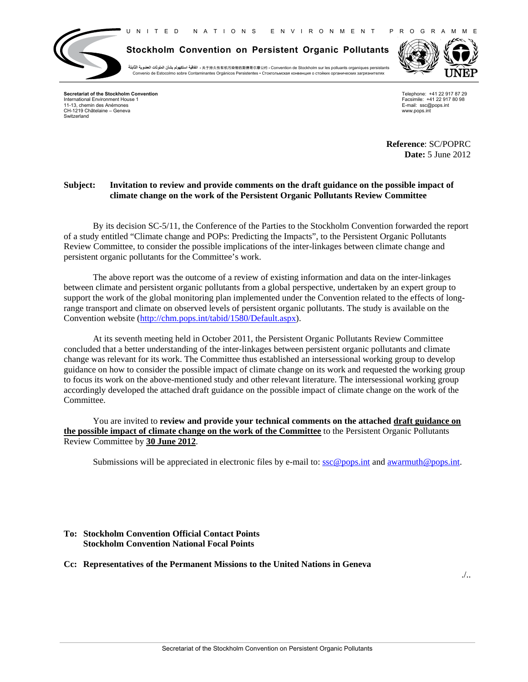N I T E D N A T I O N S E N V I R O N M E N T P R O G R A M M E



**Stockholm Convention on Persistent Organic Pollutants**

・关于持久性有机污染物的斯德哥尔摩公约 ▪ Convention de Stockholm sur les polluants organiques persistants → اتفاقية استكهولم بشأن الملوثات العضوية الثابتة Convenio de Estocolmo sobre Contaminantes Orgánicos Persistentes ▪ Стокгольмскaя конвенция о стойких органических загрязнителях



**Secretariat of the Stockholm Convention** International Environment House 1 11-13, chemin des Anémones CH-1219 Châtelaine – Geneva Switzerland

Telephone: +41 22 917 87 29 Facsimile: +41 22 917 80 98 E-mail: ssc@pops.int www.pops.int

**Reference**: SC/POPRC **Date:** 5 June 2012

## **Subject: Invitation to review and provide comments on the draft guidance on the possible impact of climate change on the work of the Persistent Organic Pollutants Review Committee**

By its decision SC-5/11, the Conference of the Parties to the Stockholm Convention forwarded the report of a study entitled "Climate change and POPs: Predicting the Impacts", to the Persistent Organic Pollutants Review Committee, to consider the possible implications of the inter-linkages between climate change and persistent organic pollutants for the Committee's work.

The above report was the outcome of a review of existing information and data on the inter-linkages between climate and persistent organic pollutants from a global perspective, undertaken by an expert group to support the work of the global monitoring plan implemented under the Convention related to the effects of longrange transport and climate on observed levels of persistent organic pollutants. The study is available on the Convention website (http://chm.pops.int/tabid/1580/Default.aspx).

At its seventh meeting held in October 2011, the Persistent Organic Pollutants Review Committee concluded that a better understanding of the inter-linkages between persistent organic pollutants and climate change was relevant for its work. The Committee thus established an intersessional working group to develop guidance on how to consider the possible impact of climate change on its work and requested the working group to focus its work on the above-mentioned study and other relevant literature. The intersessional working group accordingly developed the attached draft guidance on the possible impact of climate change on the work of the Committee.

You are invited to **review and provide your technical comments on the attached draft guidance on the possible impact of climate change on the work of the Committee** to the Persistent Organic Pollutants Review Committee by **30 June 2012**.

Submissions will be appreciated in electronic files by e-mail to:  $\sec \omega$  pops.int and awarmuth  $\omega$  pops.int.

## **To: Stockholm Convention Official Contact Points Stockholm Convention National Focal Points**

**Cc: Representatives of the Permanent Missions to the United Nations in Geneva**